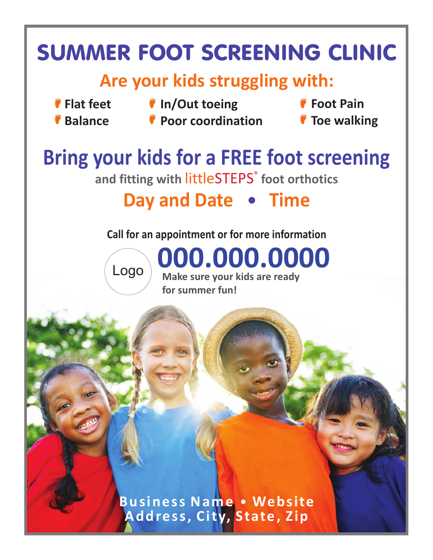# SUMMER FOOT SCREENING CLINIC **Are your kids struggling with: Bring your kids for a FREE foot screening Call for an appointment or for more information Flat feet Balance Foot Pain Toe walking In/Out toeing Poor coordination** and fitting with littleSTEPS<sup>®</sup> foot orthotics **Day and Date • Time 000.000.0000 Make sure your kids are ready for summer fun! Business Name • Website Address, City, State, Zip** Logo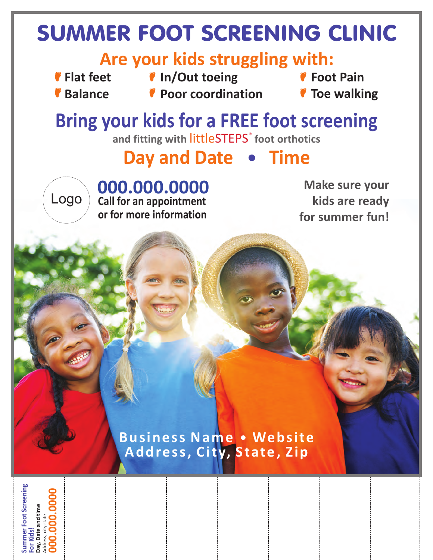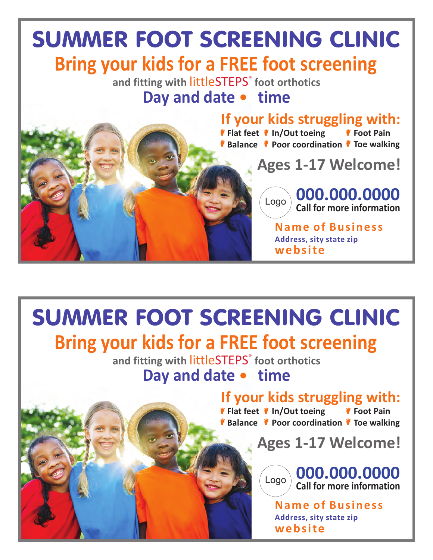## SUMMER FOOT SCREENING CLINIC **Bring your kids for a FREE foot screening**

and fitting with littleSTEPS<sup>®</sup> foot orthotics **Day and date • time** 

**If your kids struggling with:**

**Flat feet In/Out toeing Balance C** Poor coordination C Toe walking **Foot Pain**

**Ages 1-17 Welcome!**

**Call for more information 000.000.0000** Logo

**Address, sity state zip Name of Business website**

#### SUMMER FOOT SCREENING CLINIC **If your kids struggling with: Flat feet In/Out toeing Balance Poor coordination Toe walking Foot Pain Bring your kids for a FREE foot screening** and fitting with littleSTEPS<sup>®</sup> foot orthotics **Day and date • time Call for more information 000.000.0000 Name of Business Ages 1-17 Welcome!** Logo

**Address, sity state zip website**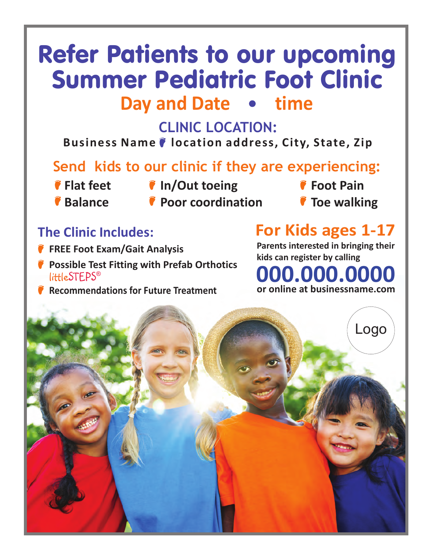## Refer Patients to our upcoming Summer Pediatric Foot Clinic **Day and Date • time**

#### **CLINIC LOCATION:**

Business Name  $\bullet$  location address, City, State, Zip

#### **Send kids to our clinic if they are experiencing:**

- 
- **Flat feet In/Out toeing**
- **Balance**
- **Poor coordination**
- **Foot Pain**
- **Toe walking**

#### **The Clinic Includes:**

- **FREE Foot Exam/Gait Analysis**
- **Possible Test Fitting with Prefab Orthotics** little ${\sf STEPS}^{\circledast}$
- **Recommendations for Future Treatment**

### **For Kids ages 1-17**

**Parents interested in bringing their kids can register by calling**

#### **or online at businessname.com 000.000.0000**

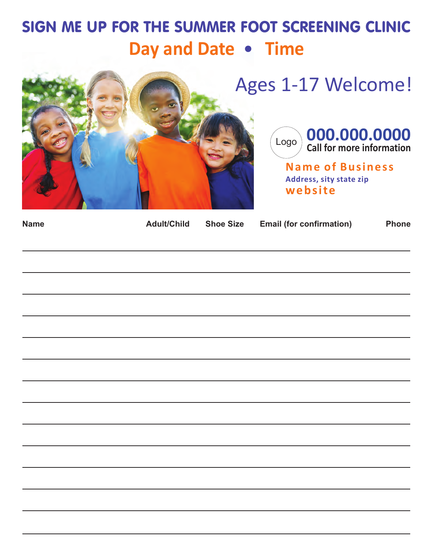### SIGN ME UP FOR THE SUMMER FOOT SCREENING CLINIC **Day and Date • Time**





**Address, sity state zip Name of Business website**

| <b>Name</b> |  | Adult/Child Shoe Size Email (for confirmation) | <b>Phone</b> |
|-------------|--|------------------------------------------------|--------------|
|             |  |                                                |              |
|             |  |                                                |              |
|             |  |                                                |              |
|             |  |                                                |              |
|             |  |                                                |              |
|             |  |                                                |              |
|             |  |                                                |              |
|             |  |                                                |              |
|             |  |                                                |              |
|             |  |                                                |              |
|             |  |                                                |              |
|             |  |                                                |              |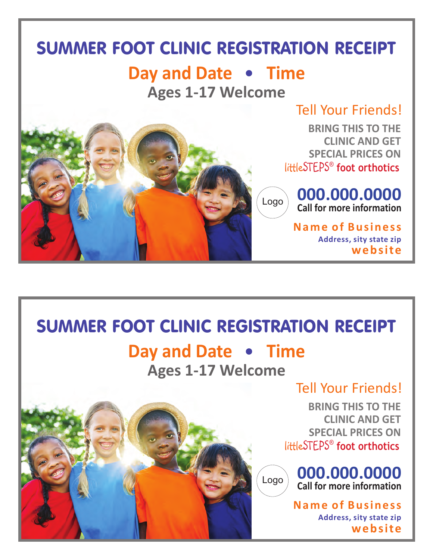### SUMMER FOOT CLINIC REGISTRATION RECEIPT

### **Day and Date • Time**

**Ages 1-17 Welcome**



**BRING THIS TO THE CLINIC AND GET SPECIAL PRICES ON** little ® STEPS **foot orthotics**



**Address, sity state zip Name of Business website**

### SUMMER FOOT CLINIC REGISTRATION RECEIPT

### **Day and Date • Time**

**Ages 1-17 Welcome**

#### Tell Your Friends!

**BRING THIS TO THE CLINIC AND GET SPECIAL PRICES ON** little ® STEPS **foot orthotics**



**Address, sity state zip Name of Business**

**website**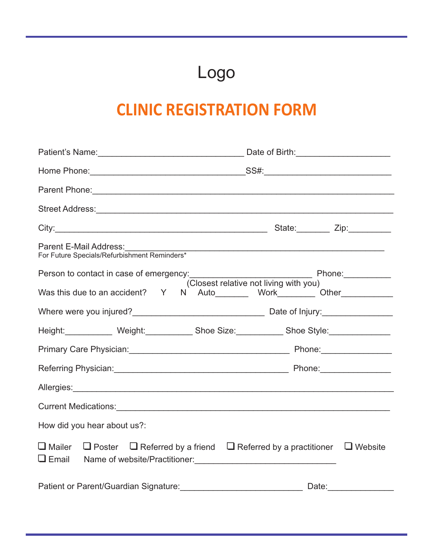## Logo

### **CLINIC REGISTRATION FORM**

| Street Address: <u>Alexander Address:</u> Alexander Address: Alexander Address: Alexander Address: Alexander Address: A                                                                                                            |  |  |  |  |
|------------------------------------------------------------------------------------------------------------------------------------------------------------------------------------------------------------------------------------|--|--|--|--|
|                                                                                                                                                                                                                                    |  |  |  |  |
| Parent E-Mail Address:                                                                                                                                                                                                             |  |  |  |  |
| (Closest relative not living with you)                                                                                                                                                                                             |  |  |  |  |
| Was this due to an accident? Y N Auto________ Work________ Other___________                                                                                                                                                        |  |  |  |  |
|                                                                                                                                                                                                                                    |  |  |  |  |
| Height: Weight: __________ Shoe Size: _________ Shoe Style: ____________                                                                                                                                                           |  |  |  |  |
|                                                                                                                                                                                                                                    |  |  |  |  |
|                                                                                                                                                                                                                                    |  |  |  |  |
| Allergies: <u>Allergies:</u> Allergies: Allergies: Allergies: Allergies: Allergies: Allergies: Allergies: Allergies: Allergies: Allergies: Allergies: Allergies: Allergies: Allergies: Allergies: Allergies: Allergies: Allergies: |  |  |  |  |
|                                                                                                                                                                                                                                    |  |  |  |  |
| How did you hear about us?:                                                                                                                                                                                                        |  |  |  |  |
| $\Box$ Mailer $\Box$ Poster $\Box$ Referred by a friend $\Box$ Referred by a practitioner $\Box$ Website                                                                                                                           |  |  |  |  |
| Patient or Parent/Guardian Signature: Date: Date: Date: Date:                                                                                                                                                                      |  |  |  |  |